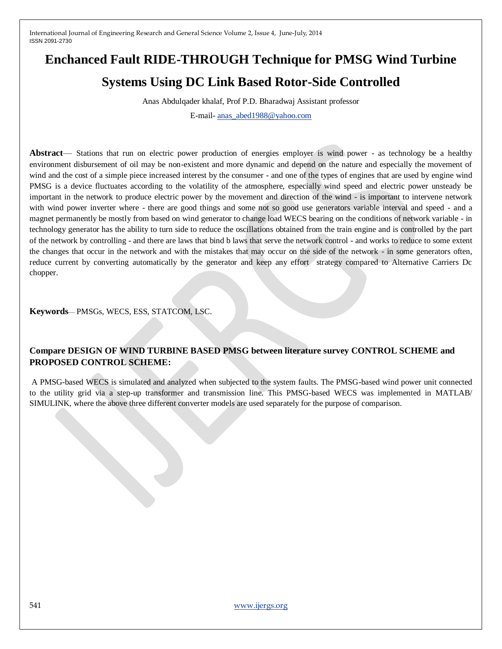# **Enchanced Fault RIDE-THROUGH Technique for PMSG Wind Turbine**

# **Systems Using DC Link Based Rotor-Side Controlled**

Anas Abdulqader khalaf, Prof P.D. Bharadwaj Assistant professor

E-mail- [anas\\_abed1988@yahoo.com](mailto:anas_abed1988@yahoo.com)

**Abstract**— Stations that run on electric power production of energies employer is wind power - as technology be a healthy environment disbursement of oil may be non-existent and more dynamic and depend on the nature and especially the movement of wind and the cost of a simple piece increased interest by the consumer - and one of the types of engines that are used by engine wind PMSG is a device fluctuates according to the volatility of the atmosphere, especially wind speed and electric power unsteady be important in the network to produce electric power by the movement and direction of the wind - is important to intervene network with wind power inverter where - there are good things and some not so good use generators variable interval and speed - and a magnet permanently be mostly from based on wind generator to change load WECS bearing on the conditions of network variable - in technology generator has the ability to turn side to reduce the oscillations obtained from the train engine and is controlled by the part of the network by controlling - and there are laws that bind b laws that serve the network control - and works to reduce to some extent the changes that occur in the network and with the mistakes that may occur on the side of the network - in some generators often, reduce current by converting automatically by the generator and keep any effort strategy compared to Alternative Carriers Dc chopper.

**Keywords**— PMSGs, WECS, ESS, STATCOM, LSC.

# **Compare DESIGN OF WIND TURBINE BASED PMSG between literature survey CONTROL SCHEME and PROPOSED CONTROL SCHEME:**

A PMSG-based WECS is simulated and analyzed when subjected to the system faults. The PMSG-based wind power unit connected to the utility grid via a step-up transformer and transmission line. This PMSG-based WECS was implemented in MATLAB/ SIMULINK, where the above three different converter models are used separately for the purpose of comparison.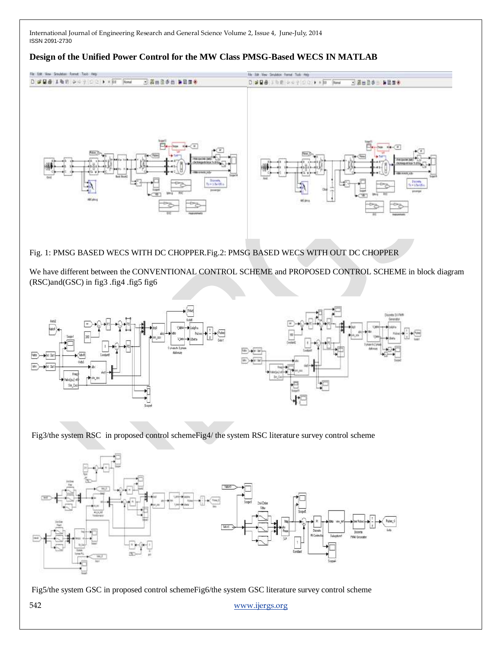#### **Design of the Unified Power Control for the MW Class PMSG-Based WECS IN MATLAB**



## Fig. 1: PMSG BASED WECS WITH DC CHOPPER.Fig.2: PMSG BASED WECS WITH OUT DC CHOPPER

We have different between the CONVENTIONAL CONTROL SCHEME and PROPOSED CONTROL SCHEME in block diagram (RSC)and(GSC) in fig3 .fig4 .fig5 fig6



Fig3/the system RSC in proposed control schemeFig4/ the system RSC literature survey control scheme



Fig5/the system GSC in proposed control schemeFig6/the system GSC literature survey control scheme

542 [www.ijergs.org](http://www.ijergs.org/)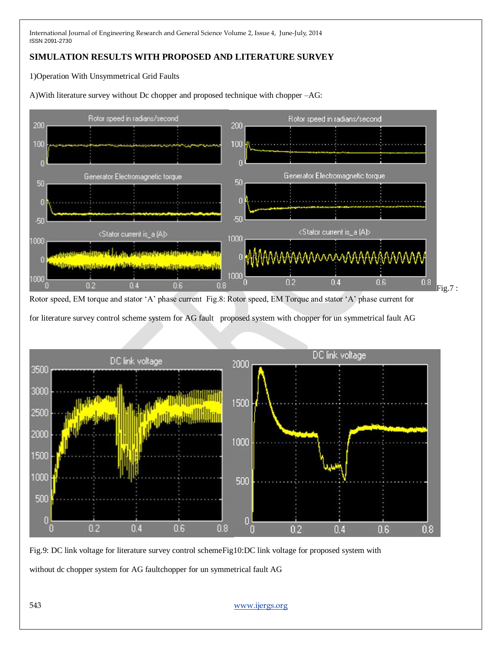# **SIMULATION RESULTS WITH PROPOSED AND LITERATURE SURVEY**

1)Operation With Unsymmetrical Grid Faults

A)With literature survey without Dc chopper and proposed technique with chopper –AG:



for literature survey control scheme system for AG fault proposed system with chopper for un symmetrical fault AG



Fig.9: DC link voltage for literature survey control schemeFig10:DC link voltage for proposed system with without dc chopper system for AG faultchopper for un symmetrical fault AG

543 [www.ijergs.org](http://www.ijergs.org/)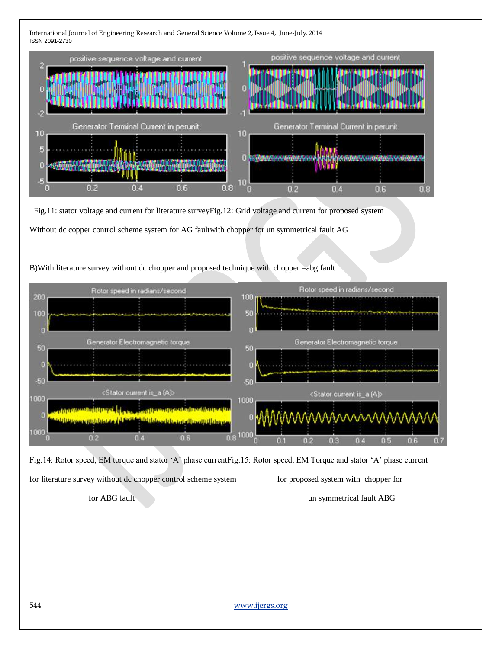

 Fig.11: stator voltage and current for literature surveyFig.12: Grid voltage and current for proposed system Without dc copper control scheme system for AG faultwith chopper for un symmetrical fault AG

## B)With literature survey without dc chopper and proposed technique with chopper –abg fault



Fig.14: Rotor speed, EM torque and stator 'A' phase currentFig.15: Rotor speed, EM Torque and stator 'A' phase current for literature survey without dc chopper control scheme system for proposed system with chopper for

for ABG fault and the symmetrical fault ABG fault ABG symmetrical fault ABG symmetrical fault ABG

544 [www.ijergs.org](http://www.ijergs.org/)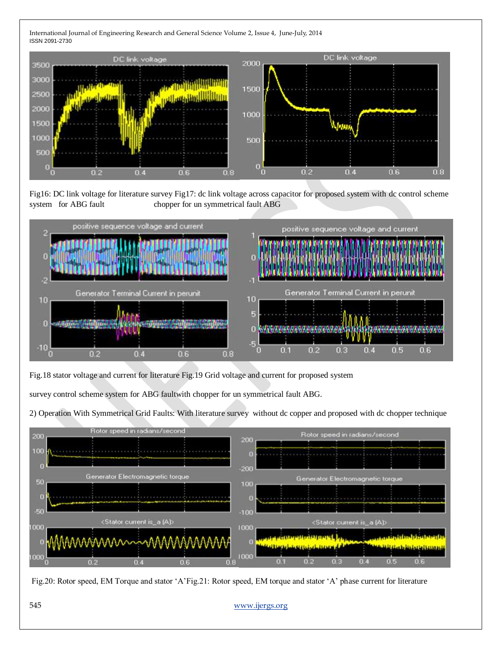

Fig16: DC link voltage for literature survey Fig17: dc link voltage across capacitor for proposed system with dc control scheme system for ABG fault chopper for un symmetrical fault ABG



Fig.18 stator voltage and current for literature Fig.19 Grid voltage and current for proposed system

survey control scheme system for ABG faultwith chopper for un symmetrical fault ABG.

2) Operation With Symmetrical Grid Faults: With literature survey without dc copper and proposed with dc chopper technique



Fig.20: Rotor speed, EM Torque and stator 'A'Fig.21: Rotor speed, EM torque and stator 'A' phase current for literature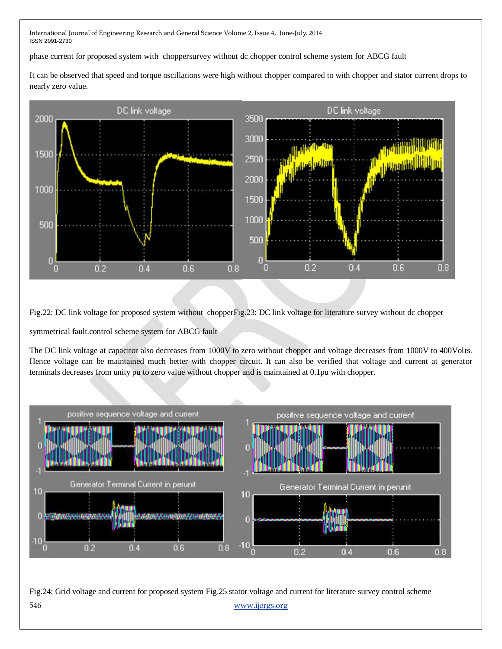phase current for proposed system with choppersurvey without dc chopper control scheme system for ABCG fault

It can be observed that speed and torque oscillations were high without chopper compared to with chopper and stator current drops to nearly zero value.



Fig.22: DC link voltage for proposed system without chopperFig.23: DC link voltage for literature survey without dc chopper

symmetrical fault.control scheme system for ABCG fault

The DC link voltage at capacitor also decreases from 1000V to zero without chopper and voltage decreases from 1000V to 400Volts. Hence voltage can be maintained much better with chopper circuit. It can also be verified that voltage and current at generator terminals decreases from unity pu to zero value without chopper and is maintained at 0.1pu with chopper.



546 [www.ijergs.org](http://www.ijergs.org/) Fig.24: Grid voltage and current for proposed system Fig.25 stator voltage and current for literature survey control scheme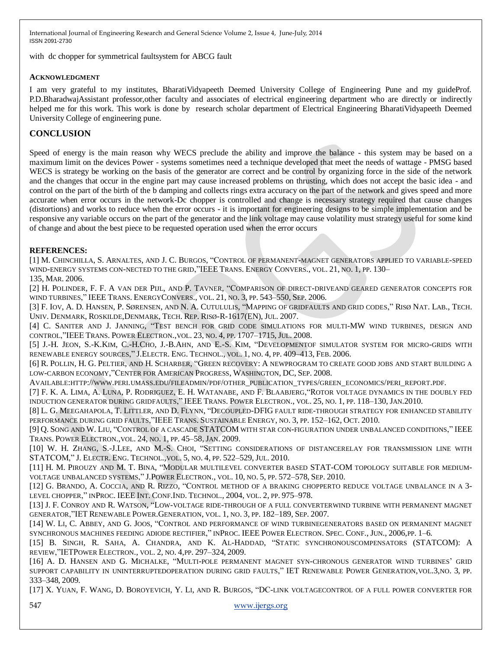with dc chopper for symmetrical faultsystem for ABCG fault

#### **ACKNOWLEDGMENT**

I am very grateful to my institutes, BharatiVidyapeeth Deemed University College of Engineering Pune and my guideProf. P.D.BharadwajAssistant professor,other faculty and associates of electrical engineering department who are directly or indirectly helped me for this work. This work is done by research scholar department of Electrical Engineering BharatiVidyapeeth Deemed University College of engineering pune.

# **CONCLUSION**

Speed of energy is the main reason why WECS preclude the ability and improve the balance - this system may be based on a maximum limit on the devices Power - systems sometimes need a technique developed that meet the needs of wattage - PMSG based WECS is strategy be working on the basis of the generator are correct and be control by organizing force in the side of the network and the changes that occur in the engine part may cause increased problems on thrusting, which does not accept the basic idea - and control on the part of the birth of the b damping and collects rings extra accuracy on the part of the network and gives speed and more accurate when error occurs in the network-Dc chopper is controlled and change is necessary strategy required that cause changes (distortions) and works to reduce when the error occurs - it is important for engineering designs to be simple implementation and be responsive any variable occurs on the part of the generator and the link voltage may cause volatility must strategy useful for some kind of change and about the best piece to be requested operation used when the error occurs

#### **REFERENCES:**

[1] M. CHINCHILLA, S. ARNALTES, AND J. C. BURGOS, "CONTROL OF PERMANENT-MAGNET GENERATORS APPLIED TO VARIABLE-SPEED WIND-ENERGY SYSTEMS CON-NECTED TO THE GRID, "IEEE TRANS. ENERGY CONVERS., VOL. 21, NO. 1, PP. 130–

135, MAR. 2006.

[2] H. POLINDER, F. F. A VAN DER PIJL, AND P. TAVNER, "COMPARISON OF DIRECT-DRIVEAND GEARED GENERATOR CONCEPTS FOR WIND TURBINES," IEEE TRANS. ENERGYCONVERS., VOL. 21, NO. 3, PP. 543-550, SEP. 2006.

[3] F. IOV, A. D. HANSEN, P. SØRENSEN, AND N. A. CUTULULIS, "MAPPING OF GRIDFAULTS AND GRID CODES," RISØ NAT. LAB., TECH. UNIV. DENMARK, ROSKILDE,DENMARK, TECH. REP. RISØ-R-1617(EN), JUL. 2007.

[4] C. SANITER AND J. JANNING, "TEST BENCH FOR GRID CODE SIMULATIONS FOR MULTI-MW WIND TURBINES, DESIGN AND CONTROL,‖IEEE TRANS. POWER ELECTRON.,VOL. 23, NO. 4, PP. 1707–1715, JUL. 2008.

[5] J.-H. JEON, S.-K.KIM, C.-H.CHO, J.-B.AHN, AND E.-S. KIM, "DEVELOPMENTOF SIMULATOR SYSTEM FOR MICRO-GRIDS WITH RENEWABLE ENERGY SOURCES," J.ELECTR. ENG. TECHNOL., VOL. 1, NO. 4, PP. 409–413, FEB. 2006.

[6] R. POLLIN, H. G. PELTIER, AND H. SCHARBER, "GREEN RECOVERY: A NEWPROGRAM TO CREATE GOOD JOBS AND START BUILDING A LOW-CARBON ECONOMY,"CENTER FOR AMERICAN PROGRESS, WASHINGTON, DC, SEP. 2008.

AVAILABLE:HTTP://WWW.PERI.UMASS.EDU/FILEADMIN/PDF/OTHER\_PUBLICATION\_TYPES/GREEN\_ECONOMICS/PERI\_REPORT.PDF.

[7] F. K. A. LIMA, A. LUNA, P. RODRIGUEZ, E. H. WATANABE, AND F. BLAABJERG, "ROTOR VOLTAGE DYNAMICS IN THE DOUBLY FED INDUCTION GENERATOR DURING GRIDFAULTS,‖ IEEE TRANS. POWER ELECTRON., VOL. 25, NO. 1, PP. 118–130, JAN.2010.

[8] L. G. MEEGAHAPOLA, T. LITTLER, AND D. FLYNN, "DECOUPLED-DFIG FAULT RIDE-THROUGH STRATEGY FOR ENHANCED STABILITY PERFORMANCE DURING GRID FAULTS, "IEEE TRANS. SUSTAINABLE ENERGY, NO. 3, PP. 152-162, OCT. 2010.

[9] Q. SONG AND W. LIU, "CONTROL OF A CASCADE STATCOM WITH STAR CON-FIGURATION UNDER UNBALANCED CONDITIONS," IEEE TRANS. POWER ELECTRON.,VOL. 24, NO. 1, PP. 45–58, JAN. 2009.

[10] W. H. ZHANG, S.-J.LEE, AND M.-S. CHOI, "SETTING CONSIDERATIONS OF DISTANCERELAY FOR TRANSMISSION LINE WITH STATCOM," J. ELECTR. ENG. TECHNOL., VOL. 5, NO. 4, PP. 522-529, JUL. 2010.

[11] H. M. PIROUZY AND M. T. BINA, "MODULAR MULTILEVEL CONVERTER BASED STAT-COM TOPOLOGY SUITABLE FOR MEDIUM-VOLTAGE UNBALANCED SYSTEMS,‖ J.POWER ELECTRON., VOL. 10, NO. 5, PP. 572–578, SEP. 2010.

[12] G. BRANDO, A. COCCIA, AND R. RIZZO, "CONTROL METHOD OF A BRAKING CHOPPERTO REDUCE VOLTAGE UNBALANCE IN A 3-LEVEL CHOPPER," INPROC. IEEE INT. CONF. IND. TECHNOL., 2004, VOL. 2, PP. 975–978.

[13] J. F. CONROY AND R. WATSON, "LOW-VOLTAGE RIDE-THROUGH OF A FULL CONVERTERWIND TURBINE WITH PERMANENT MAGNET GENERATOR, "IET RENEWABLE POWER. GENERATION, VOL. 1, NO. 3, PP. 182-189, SEP. 2007.

[14] W. LI, C. ABBEY, AND G. JOOS, "CONTROL AND PERFORMANCE OF WIND TURBINEGENERATORS BASED ON PERMANENT MAGNET SYNCHRONOUS MACHINES FEEDING ADIODE RECTIFIER," INPROC. IEEE POWER ELECTRON. SPEC. CONF., JUN., 2006,PP. 1-6.

[15] B. SINGH, R. SAHA, A. CHANDRA, AND K. AL-HADDAD, ―STATIC SYNCHRONOUSCOMPENSATORS (STATCOM): A REVIEW,"IETPOWER ELECTRON., VOL. 2, NO. 4, PP. 297-324, 2009.

[16] A. D. HANSEN AND G. MICHALKE, "MULTI-POLE PERMANENT MAGNET SYN-CHRONOUS GENERATOR WIND TURBINES' GRID SUPPORT CAPABILITY IN UNINTERRUPTEDOPERATION DURING GRID FAULTS," IET RENEWABLE POWER GENERATION, VOL.3, NO. 3, PP. 333–348, 2009.

[17] X. YUAN, F. WANG, D. BOROYEVICH, Y. LI, AND R. BURGOS, "DC-LINK VOLTAGECONTROL OF A FULL POWER CONVERTER FOR